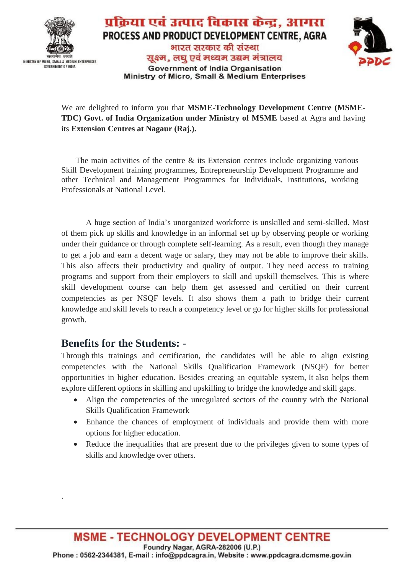

COVERNMENT OF INDIA

#### प्रक्रिया एवं उत्पाद विकास केन्द्र, आगरा PROCESS AND PRODUCT DEVELOPMENT CENTRE, AGRA भारत सरकार की संस्था सुक्ष्म, लघु एवं मध्यम उद्यम मंत्रालय **Government of India Organisation**



We are delighted to inform you that **MSME-Technology Development Centre (MSME-TDC)** Govt. of India Organization under Ministry of MSME based at Agra and having its **Extension Centres at Nagaur (Raj.).**

Ministry of Micro, Small & Medium Enterprises

The main activities of the centre & its Extension centres include organizing various Skill Development training programmes, Entrepreneurship Development Programme and other Technical and Management Programmes for Individuals, Institutions, working Professionals at National Level.

A huge section of India's unorganized workforce is unskilled and semi-skilled. Most of them pick up skills and knowledge in an informal set up by observing people or working under their guidance or through complete self-learning. As a result, even though they manage to get a job and earn a decent wage or salary, they may not be able to improve their skills. This also affects their productivity and quality of output. They need access to training programs and support from their employers to skill and upskill themselves. This is where skill development course can help them get assessed and certified on their current competencies as per NSQF levels. It also shows them a path to bridge their current knowledge and skill levels to reach a competency level or go for higher skills for professional growth.

### **Benefits for the Students: -**

·

Through this trainings and certification, the candidates will be able to align existing competencies with the National Skills Qualification Framework (NSQF) for better opportunities in higher education. Besides creating an equitable system, It also helps them explore different options in skilling and upskilling to bridge the knowledge and skill gaps.

- Align the competencies of the unregulated sectors of the country with the National Skills Qualification Framework
- Enhance the chances of employment of individuals and provide them with more options for higher education.
- Reduce the inequalities that are present due to the privileges given to some types of skills and knowledge over others.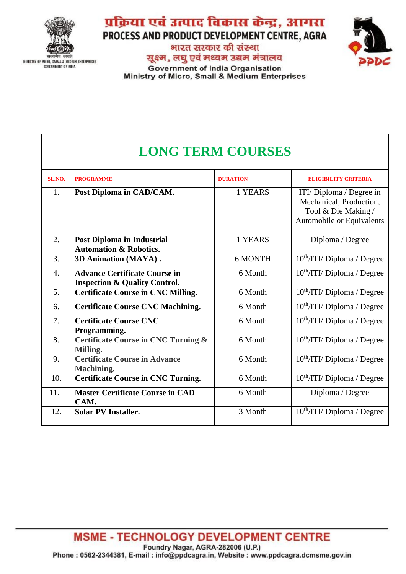

**GOVERNMENT OF INDIA** 

## प्रक्रिया एवं उत्पाद विकास केन्द्र, आगरा PROCESS AND PRODUCT DEVELOPMENT CENTRE, AGRA

भारत सरकार की संस्था सुक्ष्म, लघु एवं मध्यम उद्यम मंत्रालय **Government of India Organisation** Ministry of Micro, Small & Medium Enterprises



# **LONG TERM COURSES**

| SL.NO.           | <b>PROGRAMME</b>                                                                 | <b>DURATION</b> | <b>ELIGIBILITY CRITERIA</b>                                                                             |
|------------------|----------------------------------------------------------------------------------|-----------------|---------------------------------------------------------------------------------------------------------|
| 1.               | Post Diploma in CAD/CAM.                                                         | 1 YEARS         | ITI/ Diploma / Degree in<br>Mechanical, Production,<br>Tool & Die Making /<br>Automobile or Equivalents |
| $\overline{2}$ . | <b>Post Diploma in Industrial</b><br><b>Automation &amp; Robotics.</b>           | 1 YEARS         | Diploma / Degree                                                                                        |
| 3.               | 3D Animation (MAYA).                                                             | 6 MONTH         | $10^{th}/\text{T}$ I/ Diploma / Degree                                                                  |
| $\overline{4}$ . | <b>Advance Certificate Course in</b><br><b>Inspection &amp; Quality Control.</b> | 6 Month         | 10 <sup>th</sup> /ITI/ Diploma / Degree                                                                 |
| 5.               | <b>Certificate Course in CNC Milling.</b>                                        | 6 Month         | 10 <sup>th</sup> /ITI/Diploma / Degree                                                                  |
| 6.               | <b>Certificate Course CNC Machining.</b>                                         | 6 Month         | 10 <sup>th</sup> /ITI/Diploma / Degree                                                                  |
| 7.               | <b>Certificate Course CNC</b><br>Programming.                                    | 6 Month         | $10^{th}/\text{T}$ I/ Diploma / Degree                                                                  |
| 8.               | <b>Certificate Course in CNC Turning &amp;</b><br>Milling.                       | 6 Month         | $10^{th}/\text{T}$ I/ Diploma / Degree                                                                  |
| 9.               | <b>Certificate Course in Advance</b><br><b>Machining.</b>                        | 6 Month         | $10^{th}/\text{T}$ I/ Diploma / Degree                                                                  |
| 10.              | <b>Certificate Course in CNC Turning.</b>                                        | 6 Month         | 10 <sup>th</sup> /ITI/Diploma / Degree                                                                  |
| 11.              | <b>Master Certificate Course in CAD</b><br>CAM.                                  | 6 Month         | Diploma / Degree                                                                                        |
| 12.              | <b>Solar PV Installer.</b>                                                       | 3 Month         | 10 <sup>th</sup> /ITI/ Diploma / Degree                                                                 |

**MSME - TECHNOLOGY DEVELOPMENT CENTRE** Foundry Nagar, AGRA-282006 (U.P.) Phone: 0562-2344381, E-mail: info@ppdcagra.in, Website: www.ppdcagra.dcmsme.gov.in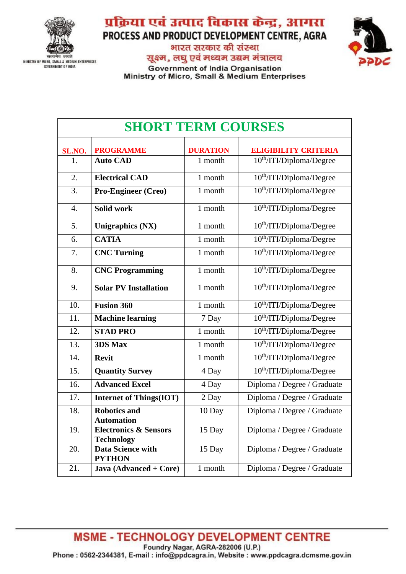

**GOVERNMENT OF INDIA** 

प्रक्रिया एवं उत्पाद विकास केन्द्र, आगरा PROCESS AND PRODUCT DEVELOPMENT CENTRE, AGRA

भारत सरकार की संस्था



सुक्ष्म, लघु एवं मध्यम उद्यम मंत्रालय **Government of India Organisation** 

Ministry of Micro, Small & Medium Enterprises

| <b>SHORT TERM COURSES</b> |                                                       |                 |                                      |  |
|---------------------------|-------------------------------------------------------|-----------------|--------------------------------------|--|
| SL.NO.                    | <b>PROGRAMME</b>                                      | <b>DURATION</b> | <b>ELIGIBILITY CRITERIA</b>          |  |
| 1.                        | <b>Auto CAD</b>                                       | 1 month         | 10 <sup>th</sup> /ITI/Diploma/Degree |  |
| 2.                        | <b>Electrical CAD</b>                                 | 1 month         | 10 <sup>th</sup> /ITI/Diploma/Degree |  |
| 3.                        | Pro-Engineer (Creo)                                   | 1 month         | 10 <sup>th</sup> /ITI/Diploma/Degree |  |
| $\overline{4}$ .          | Solid work                                            | 1 month         | 10 <sup>th</sup> /ITI/Diploma/Degree |  |
| 5.                        | <b>Unigraphics (NX)</b>                               | 1 month         | 10 <sup>th</sup> /ITI/Diploma/Degree |  |
| 6.                        | <b>CATIA</b>                                          | 1 month         | 10 <sup>th</sup> /ITI/Diploma/Degree |  |
| 7.                        | <b>CNC Turning</b>                                    | 1 month         | 10 <sup>th</sup> /ITI/Diploma/Degree |  |
| 8.                        | <b>CNC Programming</b>                                | 1 month         | 10 <sup>th</sup> /ITI/Diploma/Degree |  |
| 9.                        | <b>Solar PV Installation</b>                          | 1 month         | 10 <sup>th</sup> /ITI/Diploma/Degree |  |
| 10.                       | <b>Fusion 360</b>                                     | 1 month         | 10 <sup>th</sup> /ITI/Diploma/Degree |  |
| 11.                       | <b>Machine learning</b>                               | 7 Day           | 10 <sup>th</sup> /ITI/Diploma/Degree |  |
| 12.                       | <b>STAD PRO</b>                                       | 1 month         | 10 <sup>th</sup> /ITI/Diploma/Degree |  |
| 13.                       | 3DS Max                                               | 1 month         | 10 <sup>th</sup> /ITI/Diploma/Degree |  |
| 14.                       | <b>Revit</b>                                          | 1 month         | 10 <sup>th</sup> /ITI/Diploma/Degree |  |
| 15.                       | <b>Quantity Survey</b>                                | 4 Day           | 10 <sup>th</sup> /ITI/Diploma/Degree |  |
| 16.                       | <b>Advanced Excel</b>                                 | 4 Day           | Diploma / Degree / Graduate          |  |
| 17.                       | <b>Internet of Things(IOT)</b>                        | 2 Day           | Diploma / Degree / Graduate          |  |
| 18.                       | <b>Robotics and</b><br><b>Automation</b>              | 10 Day          | Diploma / Degree / Graduate          |  |
| 19.                       | <b>Electronics &amp; Sensors</b><br><b>Technology</b> | 15 Day          | Diploma / Degree / Graduate          |  |
| 20.                       | <b>Data Science with</b><br><b>PYTHON</b>             | 15 Day          | Diploma / Degree / Graduate          |  |
| 21.                       | Java (Advanced + Core)                                | 1 month         | Diploma / Degree / Graduate          |  |